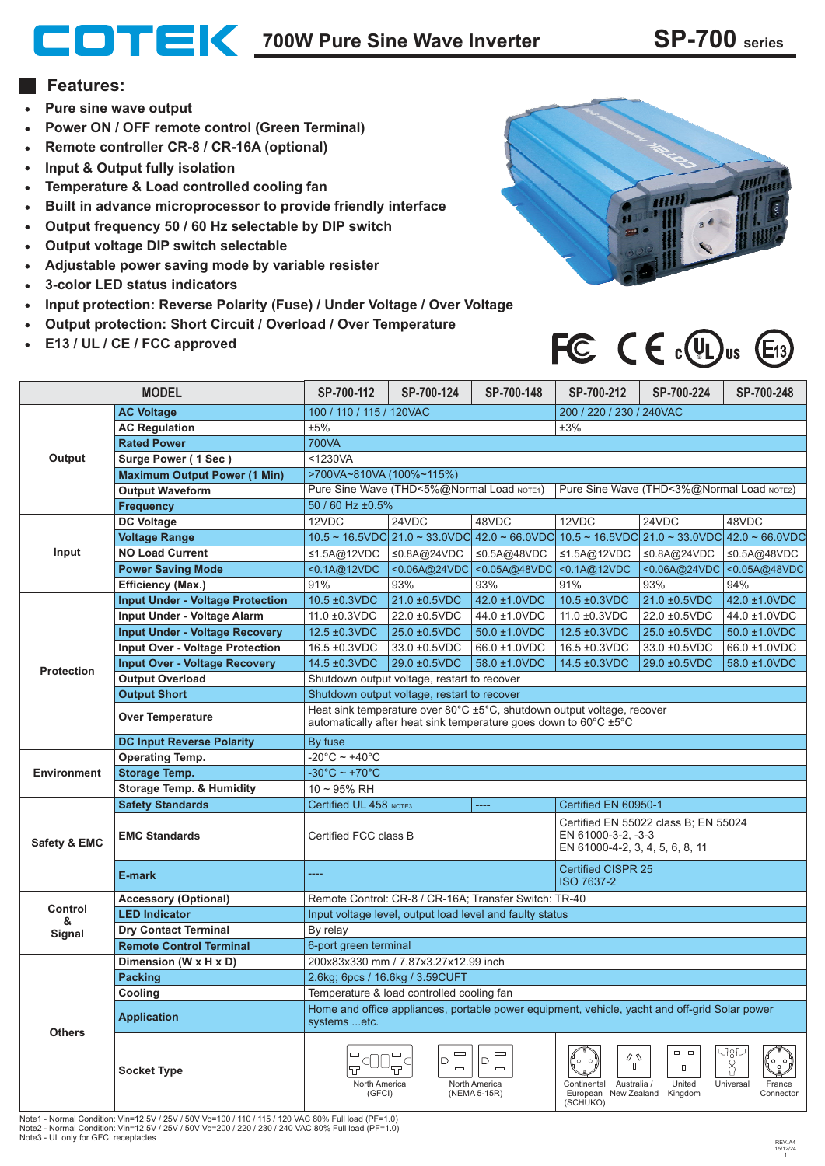## **700W Pure Sine Wave Inverter SP-700 series**

## **Features:**

- **Pure sine wave output**
- **Power ON / OFF remote control (Green Terminal)**
- **Remote controller CR-8 / CR-16A (optional)**
- **Input & Output fully isolation**
- **Temperature & Load controlled cooling fan**  $\bullet$
- **Built in advance microprocessor to provide friendly interface**  $\bullet$
- **Output frequency 50 / 60 Hz selectable by DIP switch**  $\bullet$
- **Output voltage DIP switch selectable**
- **Adjustable power saving mode by variable resister**  $\bullet$
- **3-color LED status indicators**  $\bullet$
- **Input protection: Reverse Polarity (Fuse) / Under Voltage / Over Voltage**  $\bullet$
- **Output protection: Short Circuit / Overload / Over Temperature**
- **E13 / UL / CE / FCC approved**  $\bullet$



## FC  $C \in \mathbb{C}$   $\mathbb{Q}_0$   $\mathbb{C}$   $\mathbb{C}$   $\mathbb{C}$   $\mathbb{C}$   $\mathbb{C}$   $\mathbb{C}$   $\mathbb{C}$   $\mathbb{C}$   $\mathbb{C}$   $\mathbb{C}$   $\mathbb{C}$   $\mathbb{C}$   $\mathbb{C}$   $\mathbb{C}$   $\mathbb{C}$   $\mathbb{C}$   $\mathbb{C}$   $\mathbb{C}$   $\mathbb{C}$   $\mathbb{C}$   $\mathbb{C}$   $\mathbb{C}$

| <b>MODEL</b>            |                                         | SP-700-112                                                                                                                                                        | SP-700-124                                 | SP-700-148                                                 | SP-700-212                                                                                                | SP-700-224                                                                                | SP-700-248                              |
|-------------------------|-----------------------------------------|-------------------------------------------------------------------------------------------------------------------------------------------------------------------|--------------------------------------------|------------------------------------------------------------|-----------------------------------------------------------------------------------------------------------|-------------------------------------------------------------------------------------------|-----------------------------------------|
| Output                  | <b>AC Voltage</b>                       | 100 / 110 / 115 / 120VAC                                                                                                                                          |                                            |                                                            | 200 / 220 / 230 / 240VAC                                                                                  |                                                                                           |                                         |
|                         | <b>AC Regulation</b>                    | ±5%<br>±3%                                                                                                                                                        |                                            |                                                            |                                                                                                           |                                                                                           |                                         |
|                         | <b>Rated Power</b>                      | <b>700VA</b>                                                                                                                                                      |                                            |                                                            |                                                                                                           |                                                                                           |                                         |
|                         | Surge Power (1 Sec)                     | $<$ 1230VA                                                                                                                                                        |                                            |                                                            |                                                                                                           |                                                                                           |                                         |
|                         | <b>Maximum Output Power (1 Min)</b>     | >700VA~810VA (100%~115%)                                                                                                                                          |                                            |                                                            |                                                                                                           |                                                                                           |                                         |
|                         | <b>Output Waveform</b>                  | Pure Sine Wave (THD<5%@Normal Load NOTE1)<br>Pure Sine Wave (THD<3%@Normal Load NOTE2)                                                                            |                                            |                                                            |                                                                                                           |                                                                                           |                                         |
|                         | <b>Frequency</b>                        | 50 / 60 Hz ±0.5%                                                                                                                                                  |                                            |                                                            |                                                                                                           |                                                                                           |                                         |
| Input                   | <b>DC Voltage</b>                       | 12VDC                                                                                                                                                             | 24VDC                                      | 48VDC                                                      | 12VDC                                                                                                     | 24VDC                                                                                     | 48VDC                                   |
|                         | <b>Voltage Range</b>                    |                                                                                                                                                                   |                                            |                                                            |                                                                                                           | 10.5 ~ 16.5VDC 21.0 ~ 33.0VDC 42.0 ~ 66.0VDC 10.5 ~ 16.5VDC 21.0 ~ 33.0VDC 42.0 ~ 66.0VDC |                                         |
|                         | <b>NO Load Current</b>                  | ≤1.5A@12VDC                                                                                                                                                       | ≤0.8A@24VDC                                | ≤0.5A@48VDC                                                | ≤1.5A@12VDC                                                                                               | ≤0.8A@24VDC                                                                               | ≤0.5A@48VDC                             |
|                         | <b>Power Saving Mode</b>                | <0.1A@12VDC                                                                                                                                                       | <0.06A@24VDC                               | < 0.05A@48VDC                                              | <0.1A@12VDC                                                                                               |                                                                                           | <0.06A@24VDC <0.05A@48VDC               |
|                         | <b>Efficiency (Max.)</b>                | 91%                                                                                                                                                               | 93%                                        | 93%                                                        | 91%                                                                                                       | 93%                                                                                       | 94%                                     |
| <b>Protection</b>       | <b>Input Under - Voltage Protection</b> | 10.5 ±0.3VDC                                                                                                                                                      | 21.0 ±0.5VDC                               | 42.0 ±1.0VDC                                               | 10.5 ±0.3VDC                                                                                              | 21.0 ±0.5VDC                                                                              | 42.0 ±1.0VDC                            |
|                         | Input Under - Voltage Alarm             | 11.0 ±0.3VDC                                                                                                                                                      | 22.0 ±0.5VDC                               | 44.0 ±1.0VDC                                               | 11.0 ±0.3VDC                                                                                              | 22.0 ±0.5VDC                                                                              | 44.0 ±1.0VDC                            |
|                         | <b>Input Under - Voltage Recovery</b>   | 12.5 ±0.3VDC                                                                                                                                                      | 25.0 ±0.5VDC                               | 50.0 ±1.0VDC                                               | 12.5 ±0.3VDC                                                                                              | 25.0 ±0.5VDC                                                                              | 50.0 ±1.0VDC                            |
|                         | <b>Input Over - Voltage Protection</b>  | 16.5 ±0.3VDC                                                                                                                                                      | 33.0 ±0.5VDC                               | 66.0 ±1.0VDC                                               | 16.5 ±0.3VDC                                                                                              | 33.0 ±0.5VDC                                                                              | 66.0 ±1.0VDC                            |
|                         | <b>Input Over - Voltage Recovery</b>    | 14.5 ±0.3VDC                                                                                                                                                      | 29.0 ±0.5VDC                               | 58.0 ±1.0VDC                                               | 14.5 ±0.3VDC                                                                                              | 29.0 ±0.5VDC                                                                              | 58.0 ±1.0VDC                            |
|                         | <b>Output Overload</b>                  | Shutdown output voltage, restart to recover                                                                                                                       |                                            |                                                            |                                                                                                           |                                                                                           |                                         |
|                         | <b>Output Short</b>                     | Shutdown output voltage, restart to recover                                                                                                                       |                                            |                                                            |                                                                                                           |                                                                                           |                                         |
|                         | <b>Over Temperature</b>                 | Heat sink temperature over 80°C ±5°C, shutdown output voltage, recover<br>automatically after heat sink temperature goes down to $60^{\circ}$ C $\pm 5^{\circ}$ C |                                            |                                                            |                                                                                                           |                                                                                           |                                         |
|                         | <b>DC Input Reverse Polarity</b>        | By fuse                                                                                                                                                           |                                            |                                                            |                                                                                                           |                                                                                           |                                         |
| <b>Environment</b>      | <b>Operating Temp.</b>                  | $-20^{\circ}$ C ~ +40 $^{\circ}$ C                                                                                                                                |                                            |                                                            |                                                                                                           |                                                                                           |                                         |
|                         | <b>Storage Temp.</b>                    | $-30^{\circ}$ C ~ +70 $^{\circ}$ C                                                                                                                                |                                            |                                                            |                                                                                                           |                                                                                           |                                         |
|                         | <b>Storage Temp. &amp; Humidity</b>     | $10 - 95%$ RH                                                                                                                                                     |                                            |                                                            |                                                                                                           |                                                                                           |                                         |
| <b>Safety &amp; EMC</b> | <b>Safety Standards</b>                 | Certified UL 458 NOTE3<br>                                                                                                                                        |                                            |                                                            | Certified EN 60950-1                                                                                      |                                                                                           |                                         |
|                         | <b>EMC Standards</b>                    | Certified FCC class B                                                                                                                                             |                                            |                                                            | Certified EN 55022 class B; EN 55024<br>EN 61000-3-2, -3-3<br>EN 61000-4-2, 3, 4, 5, 6, 8, 11             |                                                                                           |                                         |
|                         | E-mark                                  | ----                                                                                                                                                              |                                            |                                                            | <b>Certified CISPR 25</b><br><b>ISO 7637-2</b>                                                            |                                                                                           |                                         |
|                         | <b>Accessory (Optional)</b>             | Remote Control: CR-8 / CR-16A; Transfer Switch: TR-40                                                                                                             |                                            |                                                            |                                                                                                           |                                                                                           |                                         |
| Control<br>&<br>Signal  | <b>LED Indicator</b>                    | Input voltage level, output load level and faulty status                                                                                                          |                                            |                                                            |                                                                                                           |                                                                                           |                                         |
|                         | <b>Dry Contact Terminal</b>             | By relay                                                                                                                                                          |                                            |                                                            |                                                                                                           |                                                                                           |                                         |
|                         | <b>Remote Control Terminal</b>          | 6-port green terminal                                                                                                                                             |                                            |                                                            |                                                                                                           |                                                                                           |                                         |
| <b>Others</b>           | Dimension (W x H x D)                   | 200x83x330 mm / 7.87x3.27x12.99 inch                                                                                                                              |                                            |                                                            |                                                                                                           |                                                                                           |                                         |
|                         | <b>Packing</b>                          | 2.6kg; 6pcs / 16.6kg / 3.59CUFT                                                                                                                                   |                                            |                                                            |                                                                                                           |                                                                                           |                                         |
|                         | Cooling                                 | Temperature & load controlled cooling fan                                                                                                                         |                                            |                                                            |                                                                                                           |                                                                                           |                                         |
|                         | <b>Application</b>                      | Home and office appliances, portable power equipment, vehicle, yacht and off-grid Solar power<br>systems etc.                                                     |                                            |                                                            |                                                                                                           |                                                                                           |                                         |
|                         | <b>Socket Type</b>                      | $\Box$<br>North America<br>(GFCI)                                                                                                                                 | $\qquad \qquad \Box$<br>D<br>а<br>$\equiv$ | $\equiv$<br>D<br>$\equiv$<br>North America<br>(NEMA 5-15R) | $\mathcal{O}$ $\mathbb{O}$<br>0<br>Continental<br>Australia /<br>European New Zealand Kingdom<br>(SCHUKO) | $\Box$ $\Box$<br>$\Box$<br>United                                                         | ರ8೬<br>Universal<br>France<br>Connector |

Note1 - Normal Condition: Vin=12.5V / 25V / 50V Vo=100 / 110 / 115 / 120 VAC 80% Full load (PF=1.0) Note2 - Normal Condition: Vin=12.5V / 25V / 50V Vo=200 / 220 / 230 / 240 VAC 80% Full load (PF=1.0) Note3 - UL only for GFCI receptacles